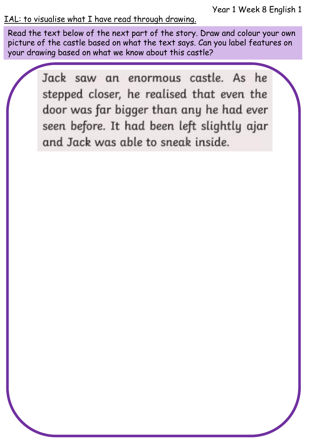Year 1 Week 8 English 1

#### IAL: to visualise what I have read through drawing.

Read the text below of the next part of the story. Draw and colour your own picture of the castle based on what the text says. Can you label features on your drawing based on what we know about this castle?

> Jack saw an enormous castle. As he stepped closer, he realised that even the door was far bigger than any he had ever seen before. It had been left slightly ajar and Jack was able to sneak inside.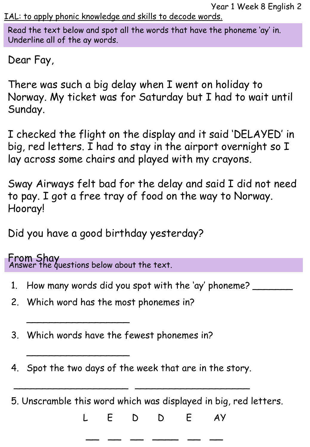IAL: to apply phonic knowledge and skills to decode words.

Read the text below and spot all the words that have the phoneme 'ay' in. Underline all of the ay words.

Dear Fay,

There was such a big delay when I went on holiday to Norway. My ticket was for Saturday but I had to wait until Sunday.

I checked the flight on the display and it said 'DELAYED' in big, red letters. I had to stay in the airport overnight so I lay across some chairs and played with my crayons.

Sway Airways felt bad for the delay and said I did not need to pay. I got a free tray of food on the way to Norway. Hooray!

Did you have a good birthday yesterday?

Answer the questions below about the text. From Shay

 $\overline{\phantom{a}}$ 

 $\overline{\phantom{a}}$ 

- 1. How many words did you spot with the 'ay' phoneme? \_\_\_\_\_\_\_
- 2. Which word has the most phonemes in?
- 3. Which words have the fewest phonemes in?
- 4. Spot the two days of the week that are in the story.

 $\overline{\phantom{a}}$  , and the contract of the contract of the contract of the contract of the contract of the contract of the contract of the contract of the contract of the contract of the contract of the contract of the contrac

5. Unscramble this word which was displayed in big, red letters.

L E D D E AY

\_\_ \_\_ \_\_ \_\_ \_\_ \_\_ \_\_ \_\_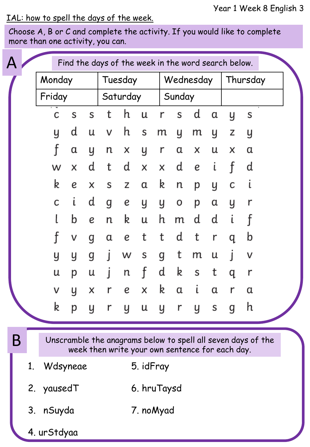### IAL: how to spell the days of the week.

Choose A, B or C and complete the activity. If you would like to complete more than one activity, you can.

|   |                                                                                                                 |             |   |   | Find the days of the week in the word search below. |             |   |   |           |   |   |          |   |  |
|---|-----------------------------------------------------------------------------------------------------------------|-------------|---|---|-----------------------------------------------------|-------------|---|---|-----------|---|---|----------|---|--|
|   |                                                                                                                 | Monday      |   |   |                                                     | Tuesday     |   |   | Wednesday |   |   | Thursday |   |  |
|   |                                                                                                                 | Friday      |   |   | Saturday                                            |             |   |   | Sunday    |   |   |          |   |  |
|   |                                                                                                                 | C           | S | S | t                                                   | h           | u | r | S         | d | α | y        | S |  |
|   |                                                                                                                 | y           | d | u | ٧                                                   | h           | S | m | y         | m | y | z        | y |  |
|   |                                                                                                                 | f           | α | y | n                                                   | X           | y | r | α         | x | u | x        | α |  |
|   |                                                                                                                 | W           | X | d | t                                                   | d           | X | X | d         | е | ι |          | d |  |
|   |                                                                                                                 | k           | е | X | S                                                   | Z           | α | k | n         | р | y | с        | ι |  |
|   |                                                                                                                 | С           | ι | d | g                                                   | е           | y | y | 0         | р | α | y        | r |  |
|   |                                                                                                                 |             | b | е | n                                                   | k           | u | h | m         | d | d |          |   |  |
|   |                                                                                                                 | f           | ٧ | g | α                                                   | е           | t | t | d         | t | r | q        | b |  |
|   |                                                                                                                 | y           | y | g | I                                                   | w           | S | g | t         | m | u |          | ٧ |  |
|   |                                                                                                                 | u           | р | u | ı                                                   | n           | f | d | k         | S | t | q        | r |  |
|   |                                                                                                                 | ٧           | y | Χ | r                                                   | е           | X | k | α         | ι | α |          | α |  |
|   |                                                                                                                 | k           |   |   | pyryuyrysg                                          |             |   |   |           |   |   |          | h |  |
| Β | Unscramble the anagrams below to spell all seven days of the<br>week then write your own sentence for each day. |             |   |   |                                                     |             |   |   |           |   |   |          |   |  |
|   | 1.                                                                                                              | Wdsyneae    |   |   |                                                     | 5. idFray   |   |   |           |   |   |          |   |  |
|   |                                                                                                                 | 2. yausedT  |   |   |                                                     | 6. hruTaysd |   |   |           |   |   |          |   |  |
|   |                                                                                                                 | 3. nSuyda   |   |   |                                                     | 7. noMyad   |   |   |           |   |   |          |   |  |
|   |                                                                                                                 | 4. urStdyaa |   |   |                                                     |             |   |   |           |   |   |          |   |  |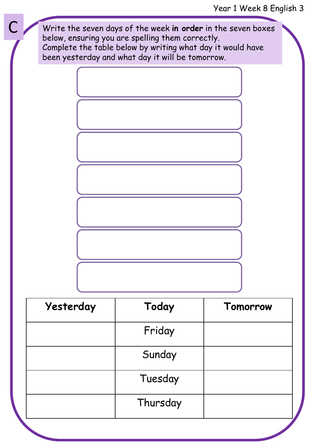### Year 1 Week 8 English 3



| Yesterday | Today    | Tomorrow |  |  |  |
|-----------|----------|----------|--|--|--|
|           | Friday   |          |  |  |  |
|           | Sunday   |          |  |  |  |
|           | Tuesday  |          |  |  |  |
|           | Thursday |          |  |  |  |